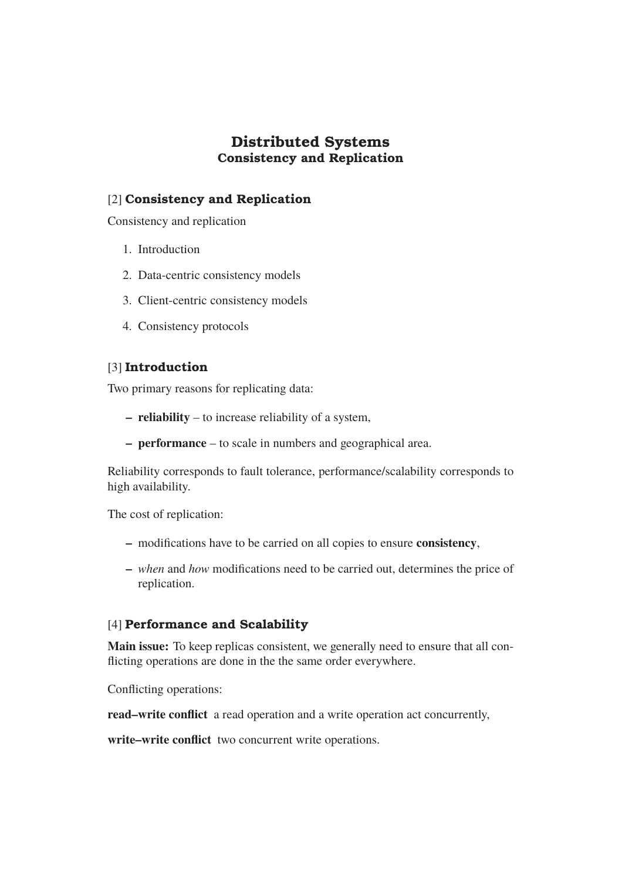# **Distributed Systems Consistency and Replication**

# [2] **Consistency and Replication**

Consistency and replication

- 1. Introduction
- 2. Data-centric consistency models
- 3. Client-centric consistency models
- 4. Consistency protocols

# [3] **Introduction**

Two primary reasons for replicating data:

- **reliability** to increase reliability of a system,
- **performance** to scale in numbers and geographical area.

Reliability corresponds to fault tolerance, performance/scalability corresponds to high availability.

The cost of replication:

- **–** modifications have to be carried on all copies to ensure **consistency**,
- **–** *when* and *how* modifications need to be carried out, determines the price of replication.

# [4] **Performance and Scalability**

**Main issue:** To keep replicas consistent, we generally need to ensure that all conflicting operations are done in the the same order everywhere.

Conflicting operations:

**read–write conflict** a read operation and a write operation act concurrently,

**write–write conflict** two concurrent write operations.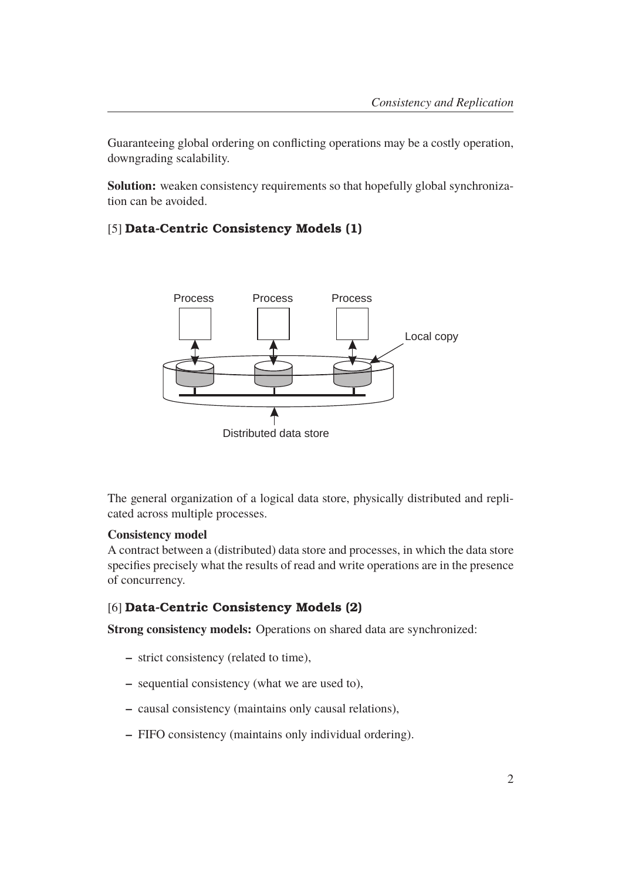Guaranteeing global ordering on conflicting operations may be a costly operation, downgrading scalability.

**Solution:** weaken consistency requirements so that hopefully global synchronization can be avoided.

# [5] **Data-Centric Consistency Models (1)**



The general organization of a logical data store, physically distributed and replicated across multiple processes.

## **Consistency model**

A contract between a (distributed) data store and processes, in which the data store specifies precisely what the results of read and write operations are in the presence of concurrency.

## [6] **Data-Centric Consistency Models (2)**

**Strong consistency models:** Operations on shared data are synchronized:

- **–** strict consistency (related to time),
- **–** sequential consistency (what we are used to),
- **–** causal consistency (maintains only causal relations),
- **–** FIFO consistency (maintains only individual ordering).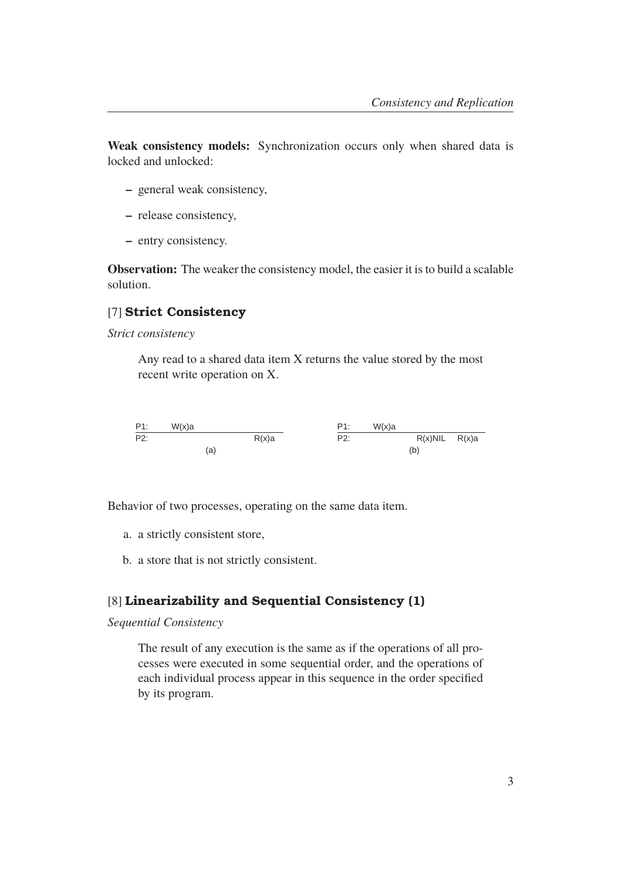**Weak consistency models:** Synchronization occurs only when shared data is locked and unlocked:

- **–** general weak consistency,
- **–** release consistency,
- **–** entry consistency.

**Observation:** The weaker the consistency model, the easier it is to build a scalable solution.

#### [7] **Strict Consistency**

*Strict consistency*

Any read to a shared data item X returns the value stored by the most recent write operation on X.



Behavior of two processes, operating on the same data item.

- a. a strictly consistent store,
- b. a store that is not strictly consistent.

## [8] **Linearizability and Sequential Consistency (1)**

#### *Sequential Consistency*

The result of any execution is the same as if the operations of all processes were executed in some sequential order, and the operations of each individual process appear in this sequence in the order specified by its program.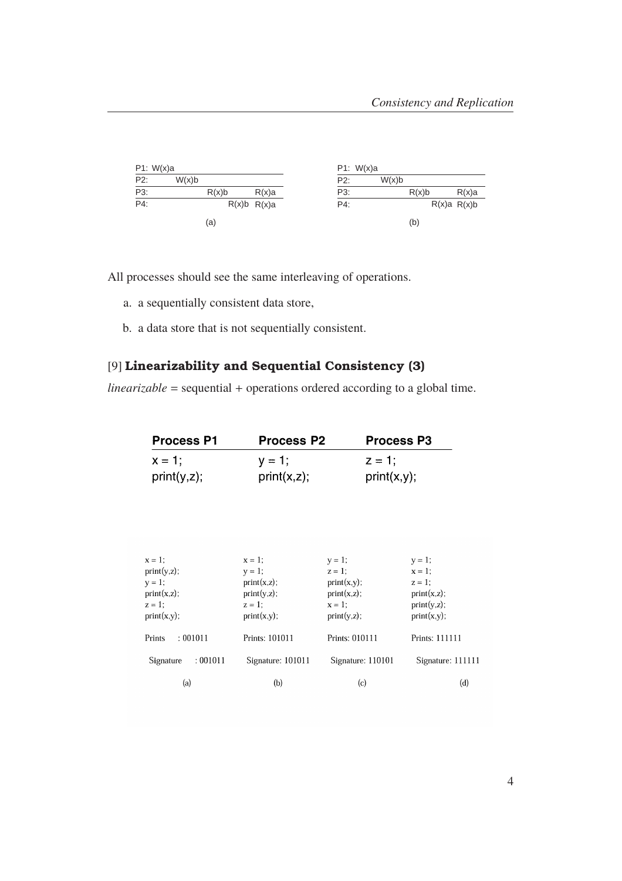| P1: W(x)a |       |       |                 |     | P1: W(x)a |       |             |
|-----------|-------|-------|-----------------|-----|-----------|-------|-------------|
| P2:       | W(x)b |       |                 | P2: | W(x)b     |       |             |
| P3:       |       | R(x)b | R(x)a           | P3: |           | R(x)b | $R(x)$ a    |
| P4:       |       |       | $R(x)b$ $R(x)a$ | P4: |           |       | R(x)a R(x)b |
|           |       | (a)   |                 |     |           | (b)   |             |

All processes should see the same interleaving of operations.

- a. a sequentially consistent data store,
- b. a data store that is not sequentially consistent.

# [9] **Linearizability and Sequential Consistency (3)**

*linearizable* = sequential + operations ordered according to a global time.

| <b>Process P1</b> | <b>Process P2</b> | <b>Process P3</b> |
|-------------------|-------------------|-------------------|
| $x = 1$ ;         | $y = 1$ ;         | $z = 1$ ;         |
| print(y, z);      | print(x,z);       | print(x,y);       |

| $x=1$ ;                                              | $x = 1$ ;                                                 | $y = 1$ ;                                                 | $y = 1$ ;                                              |
|------------------------------------------------------|-----------------------------------------------------------|-----------------------------------------------------------|--------------------------------------------------------|
| print(y,z);                                          | $y = 1$ ;                                                 | $z = 1$ :                                                 | $x = 1$ :                                              |
| $y = 1$ ;<br>print(x,z);<br>$z = 1$ ;<br>print(x,y); | print(x,z);<br>$print(y,z)$ ;<br>$z = 1$ :<br>print(x,y); | print(x,y);<br>print(x,z);<br>$x = 1$ :<br>$print(y,z)$ ; | $z = 1$ :<br>print(x,z);<br>print(y,z);<br>print(x,y); |
| : 001011<br>Prints                                   | Prints: 101011                                            | Prints: 010111                                            | Prints: 111111                                         |
| : 001011<br>Signature                                | Signature: 101011                                         | Signature: 110101                                         | Signature: 111111                                      |
| (a)                                                  | (b)                                                       | (c)                                                       | (d)                                                    |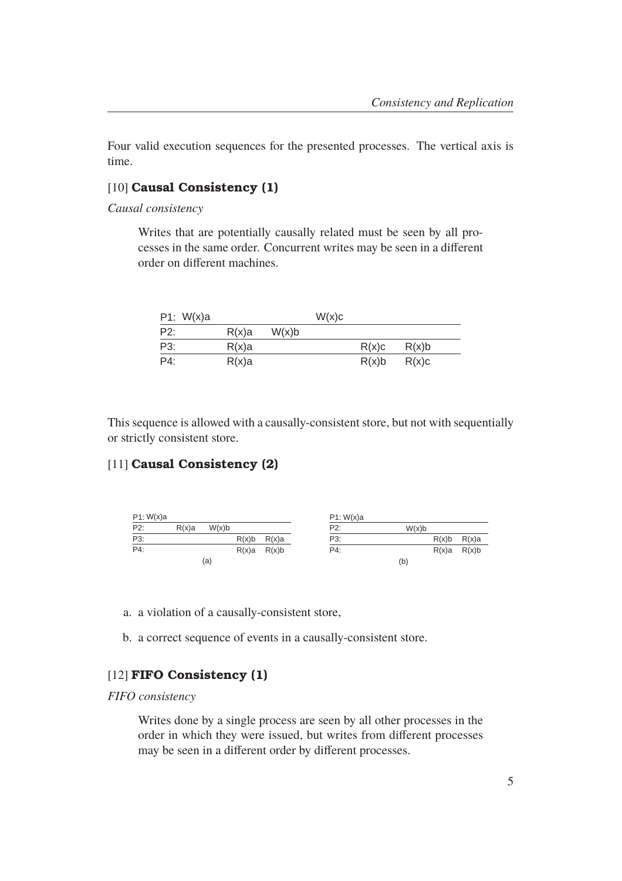Four valid execution sequences for the presented processes. The vertical axis is time.

## [10] **Causal Consistency (1)**

*Causal consistency*

Writes that are potentially causally related must be seen by all processes in the same order. Concurrent writes may be seen in a different order on different machines.

| P1: $W(x)a$ |          |       | W(x)c |       |       |
|-------------|----------|-------|-------|-------|-------|
| P2:         | $R(x)$ a | W(x)b |       |       |       |
| P3:         | $R(x)$ a |       |       | R(x)c | R(x)b |
| P4:         | $R(x)$ a |       |       | R(x)b | R(x)c |

This sequence is allowed with a causally-consistent store, but not with sequentially or strictly consistent store.

# [11] **Causal Consistency (2)**



a. a violation of a causally-consistent store,

b. a correct sequence of events in a causally-consistent store.

## [12] **FIFO Consistency (1)**

#### *FIFO consistency*

Writes done by a single process are seen by all other processes in the order in which they were issued, but writes from different processes may be seen in a different order by different processes.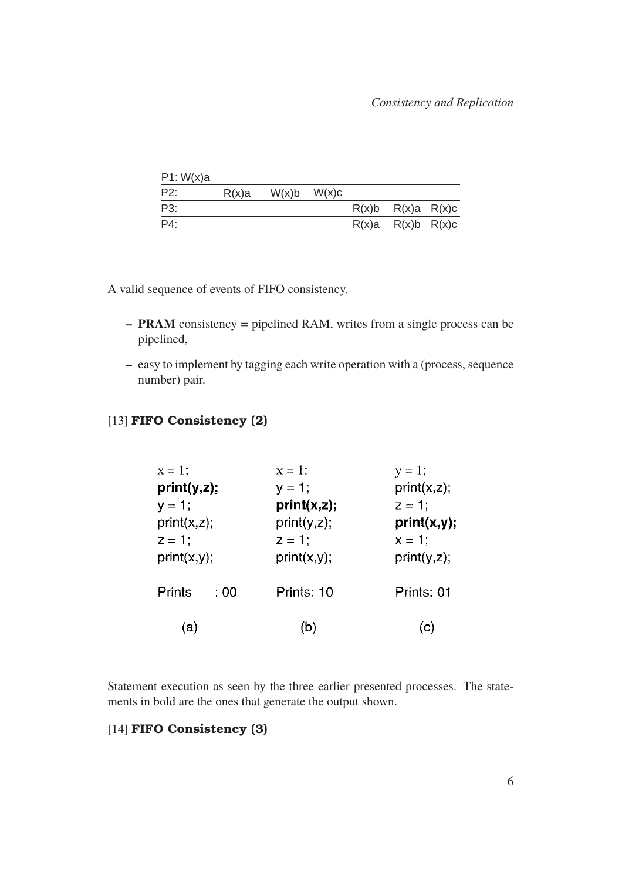| P1: W(x)a |          |       |       |                         |  |
|-----------|----------|-------|-------|-------------------------|--|
| P2:       | $R(x)$ a | W(x)b | W(x)c |                         |  |
| P3:       |          |       |       | $R(x)b$ $R(x)a$ $R(x)c$ |  |
| P4:       |          |       |       | $R(x)a$ $R(x)b$ $R(x)c$ |  |

A valid sequence of events of FIFO consistency.

- **PRAM** consistency = pipelined RAM, writes from a single process can be pipelined,
- **–** easy to implement by tagging each write operation with a (process, sequence number) pair.

# [13] **FIFO Consistency (2)**

| $x = 1$ ;      | $x=1$ ;     | $y = 1;$     |
|----------------|-------------|--------------|
| print(y,z);    | $y = 1$ ;   | print(x, z); |
| $y = 1;$       | print(x,z); | $z = 1$ :    |
| print(x,z);    | print(y,z); | print(x,y);  |
| $z = 1$ ;      | $z = 1$ ;   | $x = 1$ ;    |
| print(x,y);    | print(x,y); | print(y,z);  |
| Prints<br>: 00 | Prints: 10  | Prints: 01   |
| (a)            | (b)         | (C)          |

Statement execution as seen by the three earlier presented processes. The statements in bold are the ones that generate the output shown.

# [14] **FIFO Consistency (3)**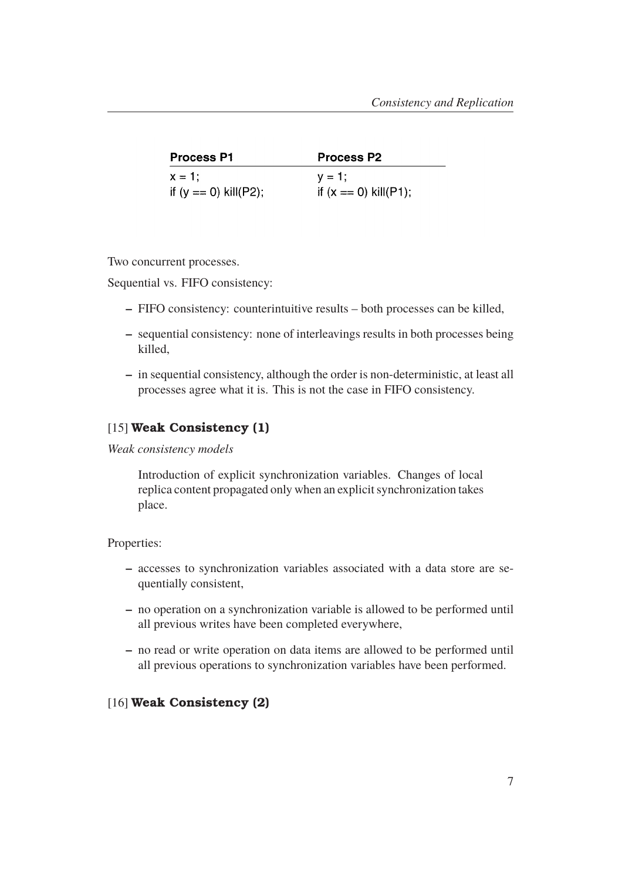| <b>Process P1</b>       | <b>Process P2</b>       |
|-------------------------|-------------------------|
| $x = 1$ :               | $V = 1$ :               |
| if $(y == 0)$ kill(P2); | if $(x == 0)$ kill(P1); |

Two concurrent processes.

Sequential vs. FIFO consistency:

- **–** FIFO consistency: counterintuitive results both processes can be killed,
- **–** sequential consistency: none of interleavings results in both processes being killed,
- **–** in sequential consistency, although the order is non-deterministic, at least all processes agree what it is. This is not the case in FIFO consistency.

#### [15] **Weak Consistency (1)**

*Weak consistency models*

Introduction of explicit synchronization variables. Changes of local replica content propagated only when an explicit synchronization takes place.

#### Properties:

- **–** accesses to synchronization variables associated with a data store are sequentially consistent,
- **–** no operation on a synchronization variable is allowed to be performed until all previous writes have been completed everywhere,
- **–** no read or write operation on data items are allowed to be performed until all previous operations to synchronization variables have been performed.

#### [16] **Weak Consistency (2)**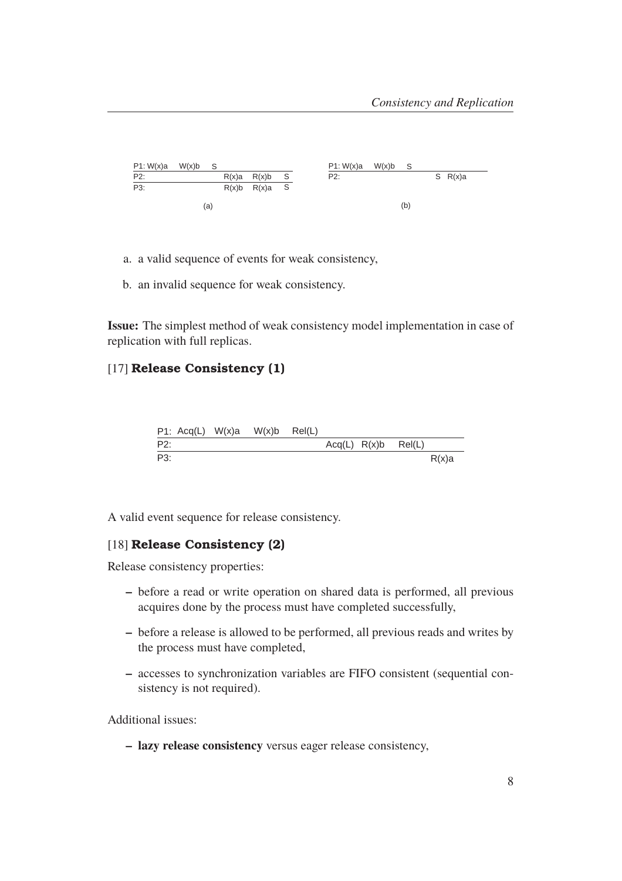

- a. a valid sequence of events for weak consistency,
- b. an invalid sequence for weak consistency.

**Issue:** The simplest method of weak consistency model implementation in case of replication with full replicas.

## [17] **Release Consistency (1)**

|     |  | P1: $Acq(L)$ W(x)a W(x)b Rel(L) |  |                           |          |
|-----|--|---------------------------------|--|---------------------------|----------|
| P2: |  |                                 |  | $Acq(L)$ $R(x)b$ $Rel(L)$ |          |
| P3: |  |                                 |  |                           | $R(x)$ a |

A valid event sequence for release consistency.

## [18] **Release Consistency (2)**

Release consistency properties:

- **–** before a read or write operation on shared data is performed, all previous acquires done by the process must have completed successfully,
- **–** before a release is allowed to be performed, all previous reads and writes by the process must have completed,
- **–** accesses to synchronization variables are FIFO consistent (sequential consistency is not required).

Additional issues:

**– lazy release consistency** versus eager release consistency,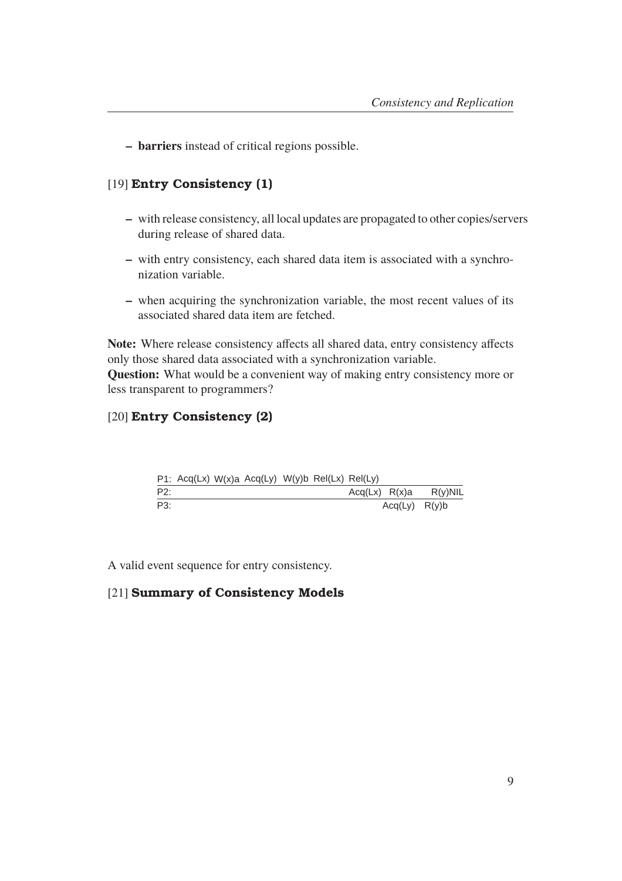**– barriers** instead of critical regions possible.

# [19] **Entry Consistency (1)**

- **–** with release consistency, all local updates are propagated to other copies/servers during release of shared data.
- **–** with entry consistency, each shared data item is associated with a synchronization variable.
- **–** when acquiring the synchronization variable, the most recent values of its associated shared data item are fetched.

**Note:** Where release consistency affects all shared data, entry consistency affects only those shared data associated with a synchronization variable. **Question:** What would be a convenient way of making entry consistency more or less transparent to programmers?

# [20] **Entry Consistency (2)**

|     | P1: Acq(Lx) $W(x)$ a Acq(Ly) $W(y)$ b Rel(Lx) Rel(Ly) |  |  |               |                   |            |
|-----|-------------------------------------------------------|--|--|---------------|-------------------|------------|
| P2: |                                                       |  |  | Acq(Lx) R(x)a |                   | $R(v)$ NIL |
| P3: |                                                       |  |  |               | $Acq(Ly)$ $R(y)b$ |            |

A valid event sequence for entry consistency.

## [21] **Summary of Consistency Models**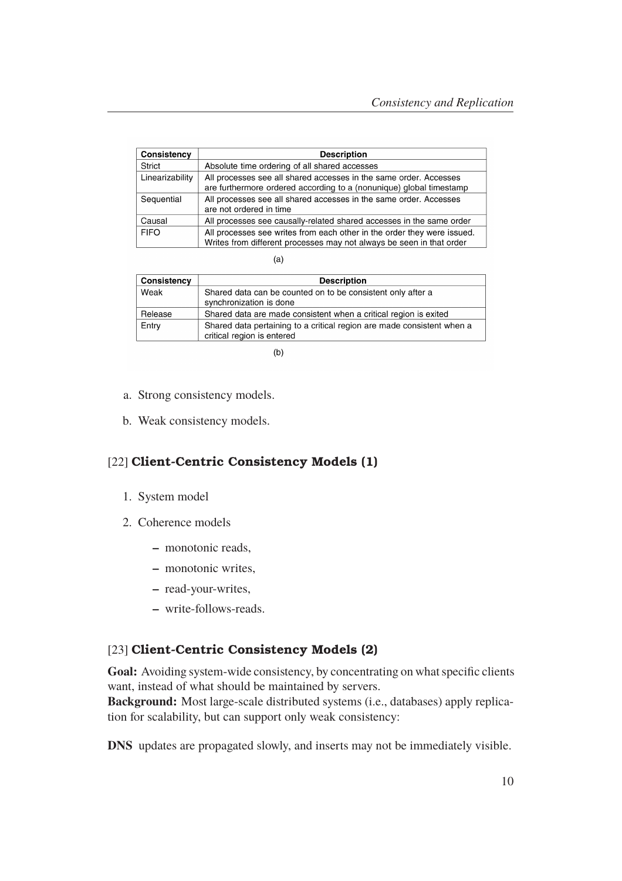| Consistency     | <b>Description</b>                                                                                                                              |
|-----------------|-------------------------------------------------------------------------------------------------------------------------------------------------|
| <b>Strict</b>   | Absolute time ordering of all shared accesses                                                                                                   |
| Linearizability | All processes see all shared accesses in the same order. Accesses<br>are furthermore ordered according to a (nonunique) global timestamp        |
| Sequential      | All processes see all shared accesses in the same order. Accesses<br>are not ordered in time                                                    |
| Causal          | All processes see causally-related shared accesses in the same order                                                                            |
| <b>FIFO</b>     | All processes see writes from each other in the order they were issued.<br>Writes from different processes may not always be seen in that order |

| Consistency | <b>Description</b>                                                                                   |
|-------------|------------------------------------------------------------------------------------------------------|
| Weak        | Shared data can be counted on to be consistent only after a<br>synchronization is done               |
| Release     | Shared data are made consistent when a critical region is exited                                     |
| Entry       | Shared data pertaining to a critical region are made consistent when a<br>critical region is entered |

 $(b)$ 

- a. Strong consistency models.
- b. Weak consistency models.

# [22] **Client-Centric Consistency Models (1)**

- 1. System model
- 2. Coherence models
	- **–** monotonic reads,
	- **–** monotonic writes,
	- **–** read-your-writes,
	- **–** write-follows-reads.

# [23] **Client-Centric Consistency Models (2)**

**Goal:** Avoiding system-wide consistency, by concentrating on what specific clients want, instead of what should be maintained by servers.

**Background:** Most large-scale distributed systems (i.e., databases) apply replication for scalability, but can support only weak consistency:

**DNS** updates are propagated slowly, and inserts may not be immediately visible.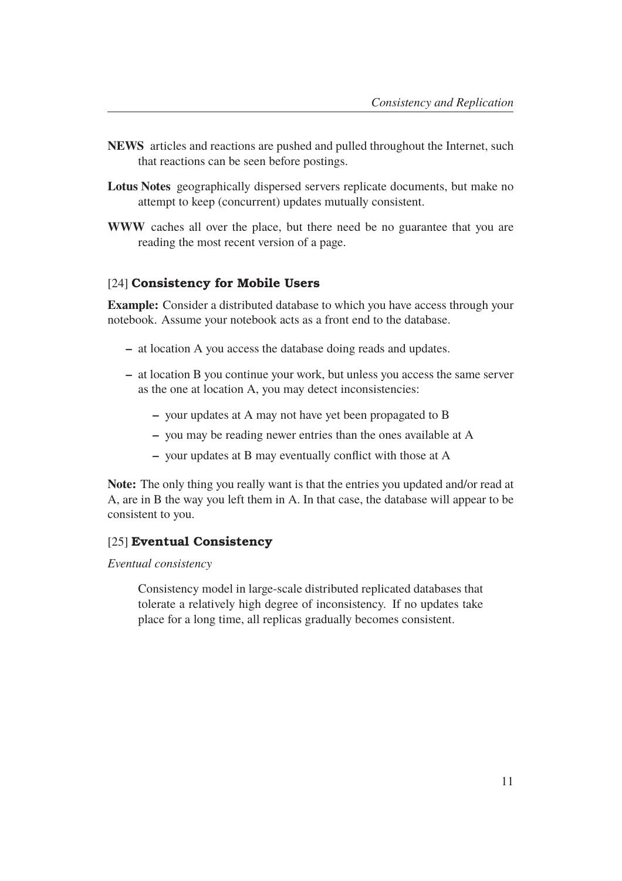- **NEWS** articles and reactions are pushed and pulled throughout the Internet, such that reactions can be seen before postings.
- **Lotus Notes** geographically dispersed servers replicate documents, but make no attempt to keep (concurrent) updates mutually consistent.
- **WWW** caches all over the place, but there need be no guarantee that you are reading the most recent version of a page.

## [24] **Consistency for Mobile Users**

**Example:** Consider a distributed database to which you have access through your notebook. Assume your notebook acts as a front end to the database.

- **–** at location A you access the database doing reads and updates.
- **–** at location B you continue your work, but unless you access the same server as the one at location A, you may detect inconsistencies:
	- **–** your updates at A may not have yet been propagated to B
	- **–** you may be reading newer entries than the ones available at A
	- **–** your updates at B may eventually conflict with those at A

**Note:** The only thing you really want is that the entries you updated and/or read at A, are in B the way you left them in A. In that case, the database will appear to be consistent to you.

## [25] **Eventual Consistency**

#### *Eventual consistency*

Consistency model in large-scale distributed replicated databases that tolerate a relatively high degree of inconsistency. If no updates take place for a long time, all replicas gradually becomes consistent.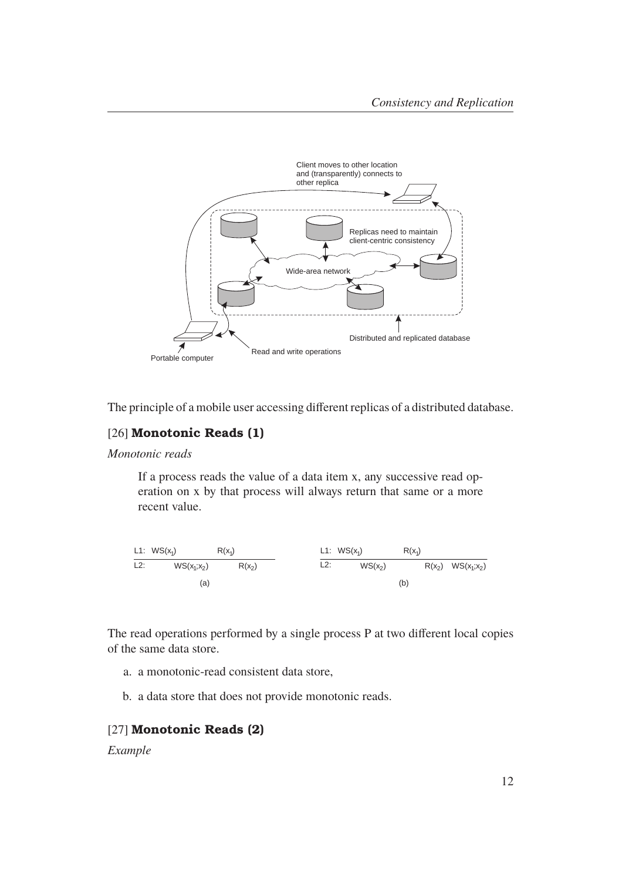

The principle of a mobile user accessing different replicas of a distributed database.

# [26] **Monotonic Reads (1)**

#### *Monotonic reads*

If a process reads the value of a data item x, any successive read operation on x by that process will always return that same or a more recent value.



The read operations performed by a single process P at two different local copies of the same data store.

- a. a monotonic-read consistent data store,
- b. a data store that does not provide monotonic reads.

#### [27] **Monotonic Reads (2)**

#### *Example*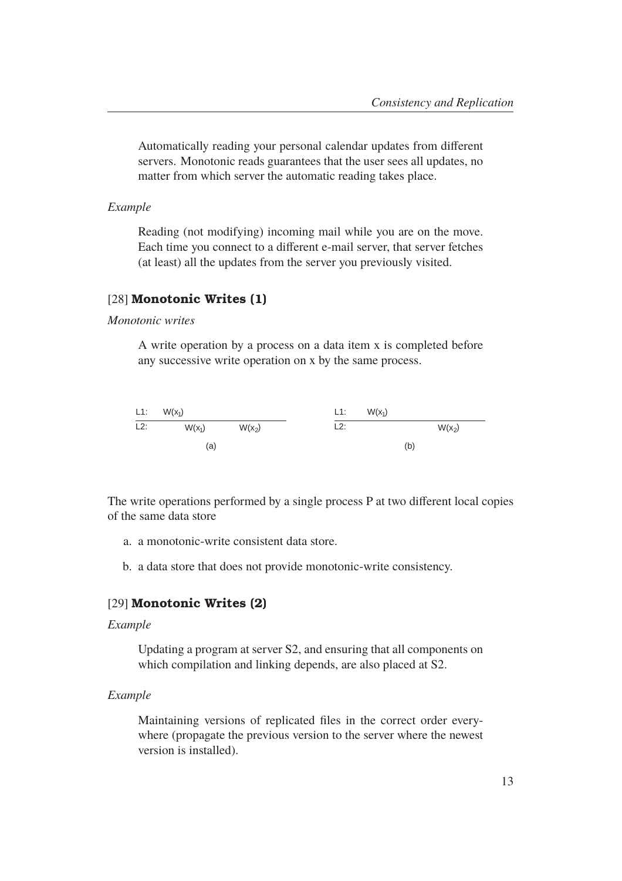Automatically reading your personal calendar updates from different servers. Monotonic reads guarantees that the user sees all updates, no matter from which server the automatic reading takes place.

*Example*

Reading (not modifying) incoming mail while you are on the move. Each time you connect to a different e-mail server, that server fetches (at least) all the updates from the server you previously visited.

#### [28] **Monotonic Writes (1)**

*Monotonic writes*

A write operation by a process on a data item x is completed before any successive write operation on x by the same process.



The write operations performed by a single process P at two different local copies of the same data store

- a. a monotonic-write consistent data store.
- b. a data store that does not provide monotonic-write consistency.

## [29] **Monotonic Writes (2)**

#### *Example*

Updating a program at server S2, and ensuring that all components on which compilation and linking depends, are also placed at S2.

#### *Example*

Maintaining versions of replicated files in the correct order everywhere (propagate the previous version to the server where the newest version is installed).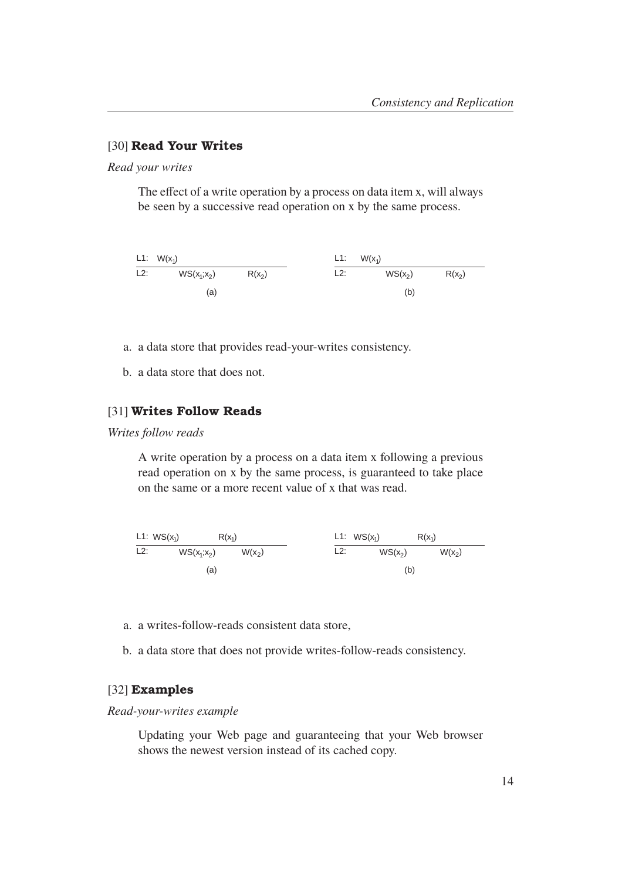## [30] **Read Your Writes**

*Read your writes*

The effect of a write operation by a process on data item x, will always be seen by a successive read operation on x by the same process.



- a. a data store that provides read-your-writes consistency.
- b. a data store that does not.

## [31] **Writes Follow Reads**

*Writes follow reads*

A write operation by a process on a data item x following a previous read operation on x by the same process, is guaranteed to take place on the same or a more recent value of x that was read.

L1: L2: WS(x ;x 1 2) L1: L2: WS(x<sup>2</sup> ) (a) (b) WS(x )<sup>1</sup> WS(x )<sup>1</sup> W(x<sup>2</sup> ) W(x<sup>2</sup> ) R(x )<sup>1</sup> R(x )<sup>1</sup>

- a. a writes-follow-reads consistent data store,
- b. a data store that does not provide writes-follow-reads consistency.

#### [32] **Examples**

#### *Read-your-writes example*

Updating your Web page and guaranteeing that your Web browser shows the newest version instead of its cached copy.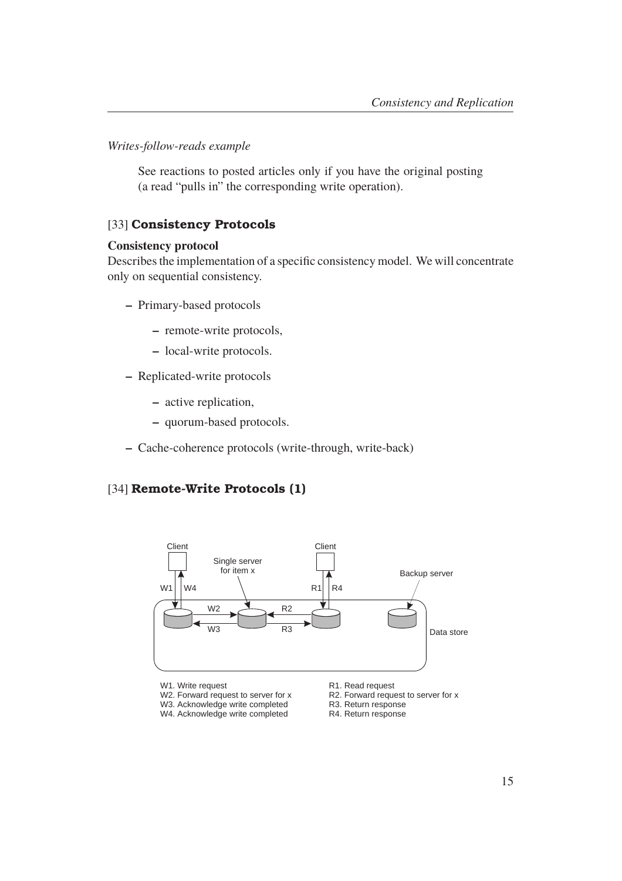*Writes-follow-reads example*

See reactions to posted articles only if you have the original posting (a read "pulls in" the corresponding write operation).

#### [33] **Consistency Protocols**

#### **Consistency protocol**

Describes the implementation of a specific consistency model. We will concentrate only on sequential consistency.

- **–** Primary-based protocols
	- **–** remote-write protocols,
	- **–** local-write protocols.
- **–** Replicated-write protocols
	- **–** active replication,
	- **–** quorum-based protocols.
- **–** Cache-coherence protocols (write-through, write-back)

## [34] **Remote-Write Protocols (1)**



- W1. Write request
- W2. Forward request to server for x
- W3. Acknowledge write completed
- W4. Acknowledge write completed
- R1. Read request
- R2. Forward request to server for x
- R3. Return response
- R4. Return response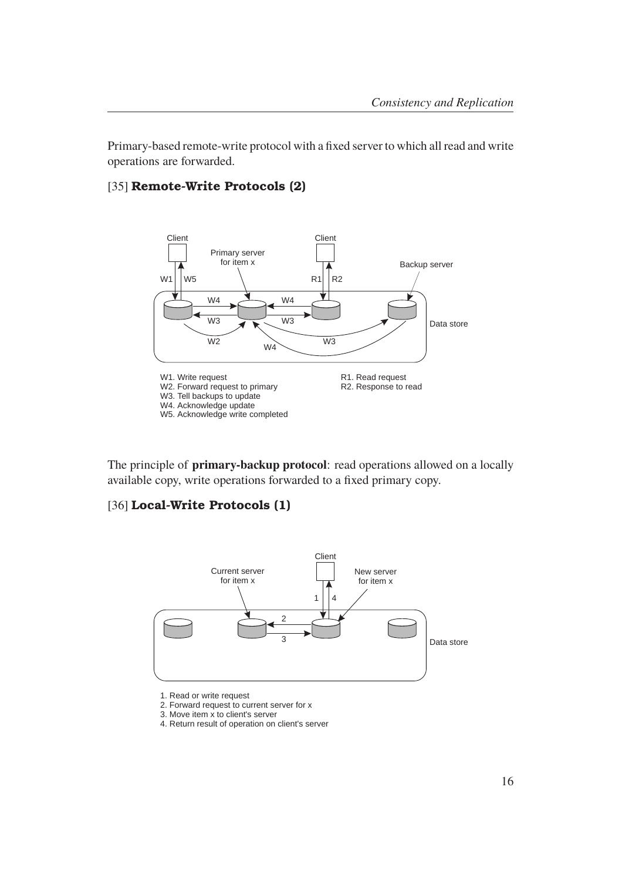Primary-based remote-write protocol with a fixed server to which all read and write operations are forwarded.

### [35] **Remote-Write Protocols (2)**



The principle of **primary-backup protocol**: read operations allowed on a locally available copy, write operations forwarded to a fixed primary copy.

## [36] **Local-Write Protocols (1)**



<sup>1.</sup> Read or write request

- 3. Move item x to client's server
- 4. Return result of operation on client's server

<sup>2.</sup> Forward request to current server for x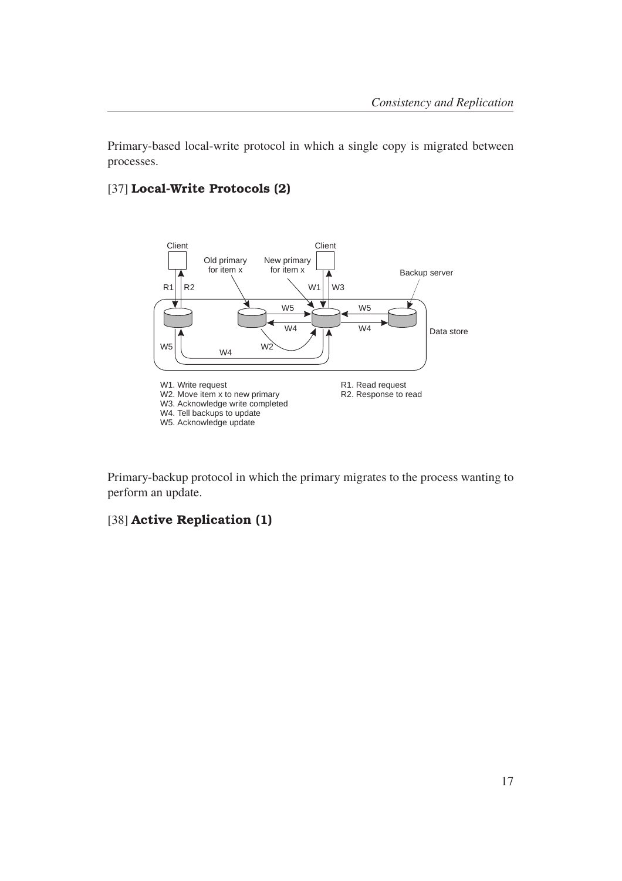Primary-based local-write protocol in which a single copy is migrated between processes.

## [37] **Local-Write Protocols (2)**



Primary-backup protocol in which the primary migrates to the process wanting to perform an update.

# [38] **Active Replication (1)**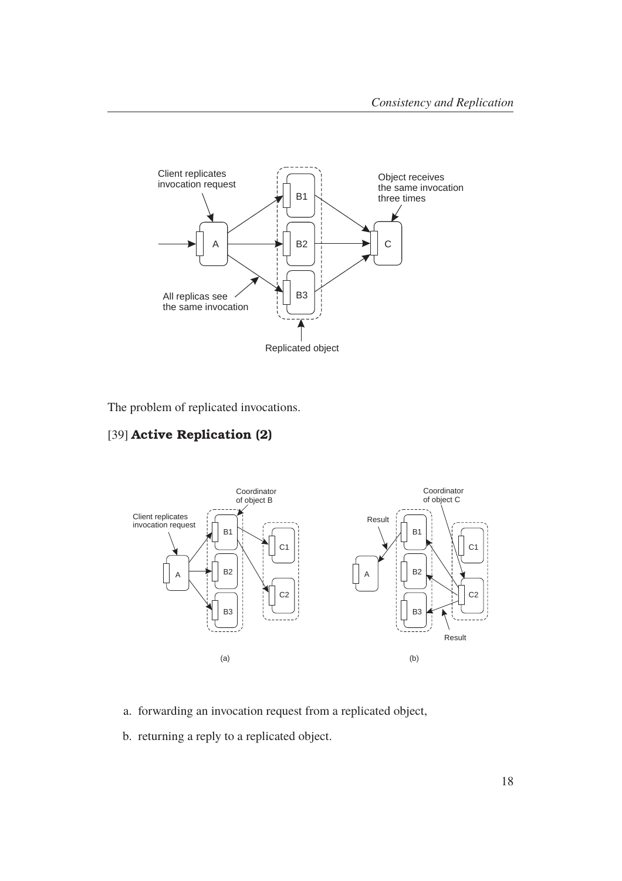

The problem of replicated invocations.

# [39] **Active Replication (2)**



- a. forwarding an invocation request from a replicated object,
- b. returning a reply to a replicated object.